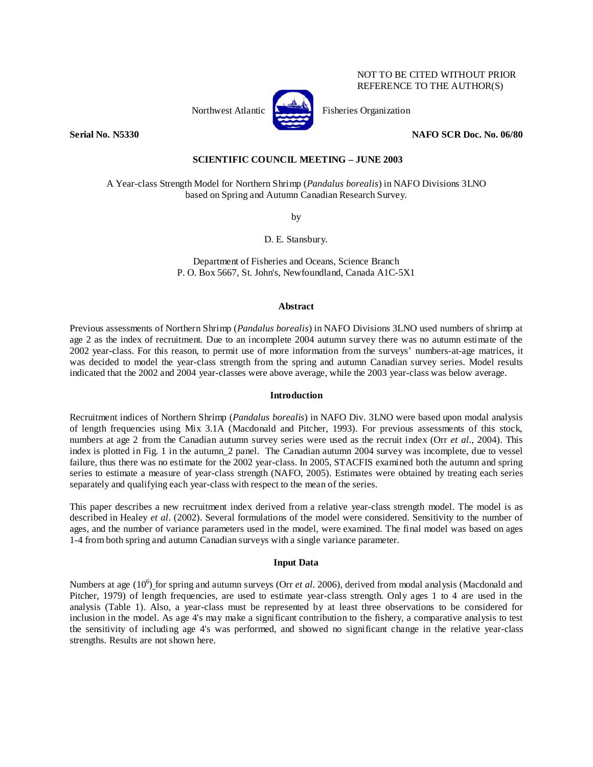### NOT TO BE CITED WITHOUT PRIOR REFERENCE TO THE AUTHOR(S)

Northwest Atlantic **Atlantic** Fisheries Organization



**Serial No. N5330 NAFO SCR Doc. No. 06/80** 

### **SCIENTIFIC COUNCIL MEETING – JUNE 2003**

A Year-class Strength Model for Northern Shrimp (*Pandalus borealis*) in NAFO Divisions 3LNO based on Spring and Autumn Canadian Research Survey.

by

D. E. Stansbury.

Department of Fisheries and Oceans, Science Branch P. O. Box 5667, St. John's, Newfoundland, Canada A1C-5X1

#### **Abstract**

Previous assessments of Northern Shrimp (*Pandalus borealis*) in NAFO Divisions 3LNO used numbers of shrimp at age 2 as the index of recruitment. Due to an incomplete 2004 autumn survey there was no autumn estimate of the 2002 year-class. For this reason, to permit use of more information from the surveys' numbers-at-age matrices, it was decided to model the year-class strength from the spring and autumn Canadian survey series. Model results indicated that the 2002 and 2004 year-classes were above average, while the 2003 year-class was below average.

#### **Introduction**

Recruitment indices of Northern Shrimp (*Pandalus borealis*) in NAFO Div. 3LNO were based upon modal analysis of length frequencies using Mix 3.1A (Macdonald and Pitcher, 1993). For previous assessments of this stock, numbers at age 2 from the Canadian autumn survey series were used as the recruit index (Orr *et al.*, 2004). This index is plotted in Fig. 1 in the autumn\_2 panel. The Canadian autumn 2004 survey was incomplete, due to vessel failure, thus there was no estimate for the 2002 year-class. In 2005, STACFIS examined both the autumn and spring series to estimate a measure of year-class strength (NAFO, 2005). Estimates were obtained by treating each series separately and qualifying each year-class with respect to the mean of the series.

This paper describes a new recruitment index derived from a relative year-class strength model. The model is as described in Healey *et al*. (2002). Several formulations of the model were considered. Sensitivity to the number of ages, and the number of variance parameters used in the model, were examined. The final model was based on ages 1-4 from both spring and autumn Canadian surveys with a single variance parameter.

### **Input Data**

Numbers at age (10<sup>6</sup>) for spring and autumn surveys (Orr *et al.* 2006), derived from modal analysis (Macdonald and Pitcher, 1979) of length frequencies, are used to estimate year-class strength. Only ages 1 to 4 are used in the analysis (Table 1). Also, a year-class must be represented by at least three observations to be considered for inclusion in the model. As age 4's may make a significant contribution to the fishery, a comparative analysis to test the sensitivity of including age 4's was performed, and showed no significant change in the relative year-class strengths. Results are not shown here.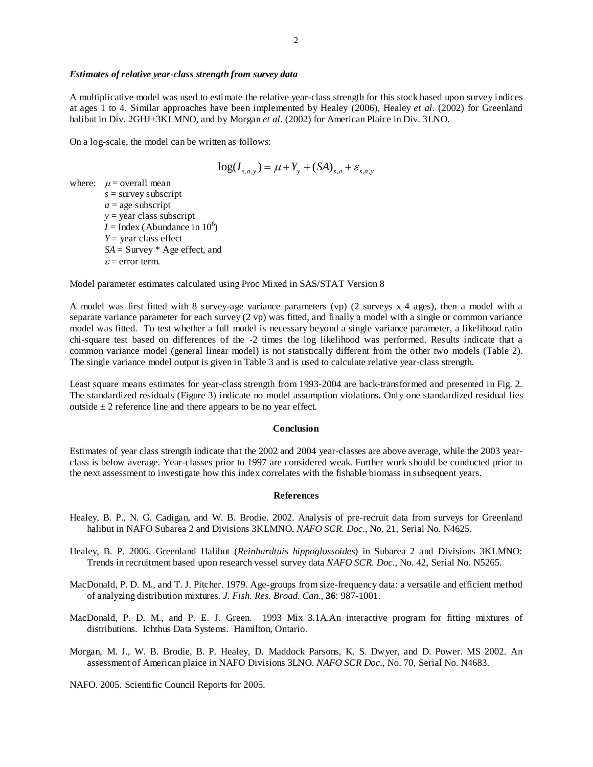#### *Estimates of relative year-class strength from survey data*

A multiplicative model was used to estimate the relative year-class strength for this stock based upon survey indices at ages 1 to 4. Similar approaches have been implemented by Healey (2006), Healey *et al*. (2002) for Greenland halibut in Div. 2GHJ+3KLMNO, and by Morgan *et al*. (2002) for American Plaice in Div. 3LNO.

On a log-scale, the model can be written as follows:

$$
\log(I_{s,a,y}) = \mu + Y_{y} + (SA)_{s,a} + \varepsilon_{s,a,y}
$$

where:  $\mu$  = overall mean *s* = survey subscript  $a =$ age subscript  $y = \text{year class subscript}$  $I =$ Index (Abundance in 10<sup>6</sup>) *Y* = year class effect *SA* = Survey \* Age effect, and  $\varepsilon$  = error term.

Model parameter estimates calculated using Proc Mixed in SAS/STAT Version 8

A model was first fitted with 8 survey-age variance parameters (vp) (2 surveys x 4 ages), then a model with a separate variance parameter for each survey (2 vp) was fitted, and finally a model with a single or common variance model was fitted. To test whether a full model is necessary beyond a single variance parameter, a likelihood ratio chi-square test based on differences of the -2 times the log likelihood was performed. Results indicate that a common variance model (general linear model) is not statistically different from the other two models (Table 2). The single variance model output is given in Table 3 and is used to calculate relative year-class strength.

Least square means estimates for year-class strength from 1993-2004 are back-transformed and presented in Fig. 2. The standardized residuals (Figure 3) indicate no model assumption violations. Only one standardized residual lies outside  $\pm 2$  reference line and there appears to be no year effect.

#### **Conclusion**

Estimates of year class strength indicate that the 2002 and 2004 year-classes are above average, while the 2003 yearclass is below average. Year-classes prior to 1997 are considered weak. Further work should be conducted prior to the next assessment to investigate how this index correlates with the fishable biomass in subsequent years.

#### **References**

- Healey, B. P., N. G. Cadigan, and W. B. Brodie. 2002. Analysis of pre-recruit data from surveys for Greenland halibut in NAFO Subarea 2 and Divisions 3KLMNO. *NAFO SCR. Doc*., No. 21, Serial No. N4625.
- Healey, B. P. 2006. Greenland Halibut (*Reinhardtuis hippoglossoides*) in Subarea 2 and Divisions 3KLMNO: Trends in recruitment based upon research vessel survey data *NAFO SCR. Doc*., No. 42, Serial No. N5265.
- MacDonald, P. D. M., and T. J. Pitcher. 1979. Age-groups from size-frequency data: a versatile and efficient method of analyzing distribution mixtures. *J. Fish. Res. Broad. Can*., **36**: 987-1001.
- MacDonald, P. D. M., and P. E. J. Green. 1993 Mix 3.1A.An interactive program for fitting mixtures of distributions. Ichthus Data Systems. Hamilton, Ontario.
- Morgan, M. J., W. B. Brodie, B. P. Healey, D. Maddock Parsons, K. S. Dwyer, and D. Power. MS 2002. An assessment of American plaice in NAFO Divisions 3LNO. *NAFO SCR Doc*., No. 70, Serial No. N4683.

NAFO. 2005. Scientific Council Reports for 2005.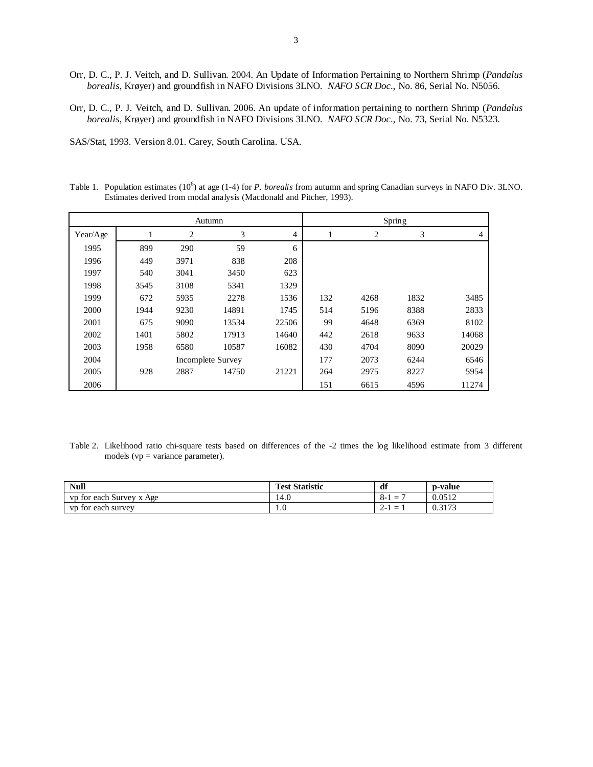- Orr, D. C., P. J. Veitch, and D. Sullivan. 2004. An Update of Information Pertaining to Northern Shrimp (*Pandalus borealis*, Krøyer) and groundfish in NAFO Divisions 3LNO. *NAFO SCR Doc*., No. 86, Serial No. N5056.
- Orr, D. C., P. J. Veitch, and D. Sullivan. 2006. An update of information pertaining to northern Shrimp (*Pandalus borealis*, Krøyer) and groundfish in NAFO Divisions 3LNO. *NAFO SCR Doc*., No. 73, Serial No. N5323.

SAS/Stat, 1993. Version 8.01. Carey, South Carolina. USA.

Table 1. Population estimates (10<sup>6</sup>) at age (1-4) for *P. borealis* from autumn and spring Canadian surveys in NAFO Div. 3LNO. Estimates derived from modal analysis (Macdonald and Pitcher, 1993).

| Autumn   |      |      |                   |       |     |      | Spring |                |
|----------|------|------|-------------------|-------|-----|------|--------|----------------|
| Year/Age |      | 2    | 3                 | 4     |     | 2    | 3      | $\overline{4}$ |
| 1995     | 899  | 290  | 59                | 6     |     |      |        |                |
| 1996     | 449  | 3971 | 838               | 208   |     |      |        |                |
| 1997     | 540  | 3041 | 3450              | 623   |     |      |        |                |
| 1998     | 3545 | 3108 | 5341              | 1329  |     |      |        |                |
| 1999     | 672  | 5935 | 2278              | 1536  | 132 | 4268 | 1832   | 3485           |
| 2000     | 1944 | 9230 | 14891             | 1745  | 514 | 5196 | 8388   | 2833           |
| 2001     | 675  | 9090 | 13534             | 22506 | 99  | 4648 | 6369   | 8102           |
| 2002     | 1401 | 5802 | 17913             | 14640 | 442 | 2618 | 9633   | 14068          |
| 2003     | 1958 | 6580 | 10587             | 16082 | 430 | 4704 | 8090   | 20029          |
| 2004     |      |      | Incomplete Survey |       | 177 | 2073 | 6244   | 6546           |
| 2005     | 928  | 2887 | 14750             | 21221 | 264 | 2975 | 8227   | 5954           |
| 2006     |      |      |                   |       | 151 | 6615 | 4596   | 11274          |

Table 2. Likelihood ratio chi-square tests based on differences of the -2 times the log likelihood estimate from 3 different models (vp = variance parameter).

| <b>Null</b>              | <b>Test Statistic</b> | df                         | p-value      |
|--------------------------|-----------------------|----------------------------|--------------|
| vp for each Survey x Age | 14.U                  | - 0<br>-<br>$\circ$ -<br>_ | 0.0512       |
| vp for each survey       | 1.0                   | $2-1$<br>–                 | .3173<br>U.J |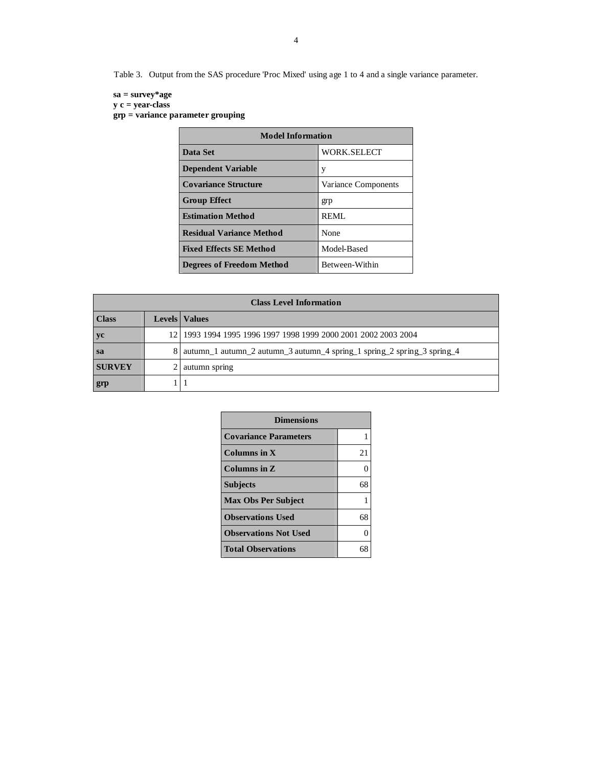Table 3. Output from the SAS procedure 'Proc Mixed' using age 1 to 4 and a single variance parameter.

## **sa = survey\*age**

 **y c = year-class** 

 **grp = variance parameter grouping**

| <b>Model Information</b>         |                     |  |  |  |  |
|----------------------------------|---------------------|--|--|--|--|
| Data Set                         | WORK.SELECT         |  |  |  |  |
| <b>Dependent Variable</b>        | у                   |  |  |  |  |
| <b>Covariance Structure</b>      | Variance Components |  |  |  |  |
| <b>Group Effect</b>              | grp                 |  |  |  |  |
| <b>Estimation Method</b>         | REMI.               |  |  |  |  |
| <b>Residual Variance Method</b>  | None                |  |  |  |  |
| <b>Fixed Effects SE Method</b>   | Model-Based         |  |  |  |  |
| <b>Degrees of Freedom Method</b> | Between-Within      |  |  |  |  |

| <b>Class Level Information</b> |      |                                                                         |  |  |  |  |  |
|--------------------------------|------|-------------------------------------------------------------------------|--|--|--|--|--|
| <b>Class</b>                   |      | <b>Levels</b>   Values                                                  |  |  |  |  |  |
| yc                             | 12.1 | 1993 1994 1995 1996 1997 1998 1999 2000 2001 2002 2003 2004             |  |  |  |  |  |
| <sub>sa</sub>                  |      | autumn_1 autumn_2 autumn_3 autumn_4 spring_1 spring_2 spring_3 spring_4 |  |  |  |  |  |
| <b>SURVEY</b>                  |      | autumn spring                                                           |  |  |  |  |  |
| grp                            |      |                                                                         |  |  |  |  |  |

| <b>Dimensions</b>            |    |  |  |  |  |
|------------------------------|----|--|--|--|--|
| <b>Covariance Parameters</b> |    |  |  |  |  |
| Columns in $X$               | 21 |  |  |  |  |
| Columns in Z                 | 0  |  |  |  |  |
| <b>Subjects</b>              | 68 |  |  |  |  |
| <b>Max Obs Per Subject</b>   |    |  |  |  |  |
| <b>Observations Used</b>     | 68 |  |  |  |  |
| <b>Observations Not Used</b> | 0  |  |  |  |  |
| <b>Total Observations</b>    |    |  |  |  |  |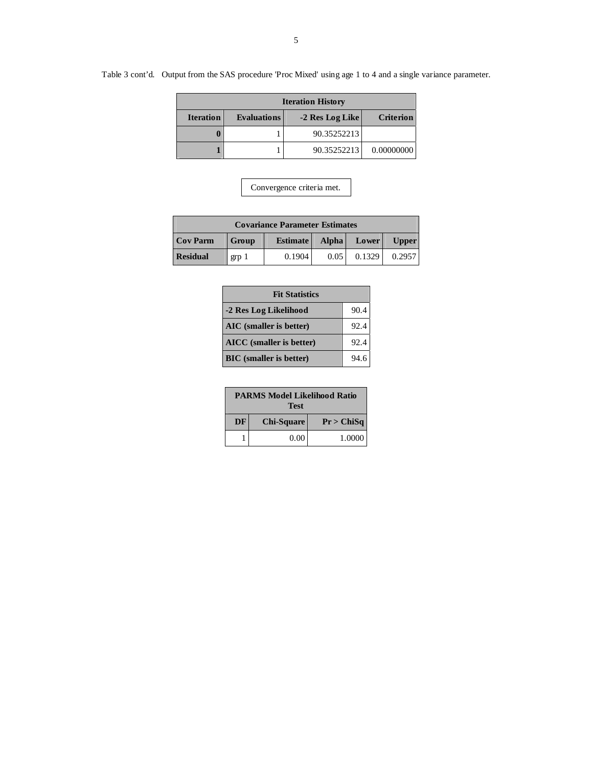# Table 3 cont'd. Output from the SAS procedure 'Proc Mixed' using age 1 to 4 and a single variance parameter.

| <b>Iteration History</b> |                    |             |            |  |  |  |  |
|--------------------------|--------------------|-------------|------------|--|--|--|--|
| <b>Iteration</b>         | <b>Evaluations</b> | Criterion   |            |  |  |  |  |
|                          |                    | 90.35252213 |            |  |  |  |  |
|                          |                    | 90.35252213 | 0.00000000 |  |  |  |  |

| <b>Covariance Parameter Estimates</b> |                |                 |              |        |              |  |
|---------------------------------------|----------------|-----------------|--------------|--------|--------------|--|
| <b>Cov Parm</b>                       | Group          | <b>Estimate</b> | <b>Alpha</b> | Lower  | <b>Upper</b> |  |
| <b>Residual</b>                       | $_{\rm grp}$ 1 | 0.1904          | 0.05         | 0.1329 | 0.2957       |  |

| <b>Fit Statistics</b>           |      |  |  |  |
|---------------------------------|------|--|--|--|
| -2 Res Log Likelihood           | 90.4 |  |  |  |
| AIC (smaller is better)         | 92.4 |  |  |  |
| <b>AICC</b> (smaller is better) | 92.4 |  |  |  |
| <b>BIC</b> (smaller is better)  | 94.6 |  |  |  |

|           | <b>PARMS Model Likelihood Ratio</b><br><b>Test</b> |            |  |  |  |  |  |  |
|-----------|----------------------------------------------------|------------|--|--|--|--|--|--|
| <b>DF</b> | <b>Chi-Square</b>                                  | Pr > ChiSq |  |  |  |  |  |  |
|           | 0.00                                               | 1.0000     |  |  |  |  |  |  |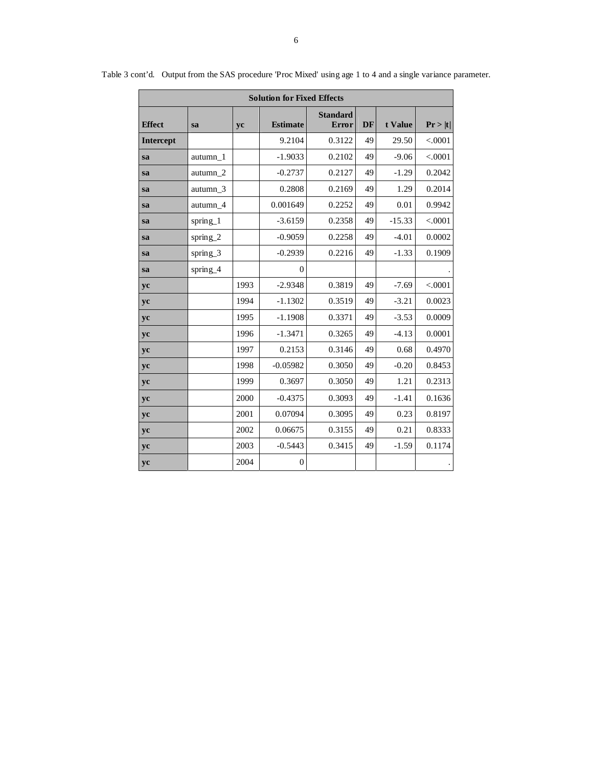| <b>Solution for Fixed Effects</b> |                     |      |                 |                          |           |          |         |
|-----------------------------------|---------------------|------|-----------------|--------------------------|-----------|----------|---------|
| <b>Effect</b>                     | sa                  | yc   | <b>Estimate</b> | <b>Standard</b><br>Error | <b>DF</b> | t Value  | Pr >  t |
| <b>Intercept</b>                  |                     |      | 9.2104          | 0.3122                   | 49        | 29.50    | < .0001 |
| sa                                | autumn <sub>1</sub> |      | $-1.9033$       | 0.2102                   | 49        | $-9.06$  | < .0001 |
| <b>sa</b>                         | autumn 2            |      | $-0.2737$       | 0.2127                   | 49        | $-1.29$  | 0.2042  |
| sa                                | autumn 3            |      | 0.2808          | 0.2169                   | 49        | 1.29     | 0.2014  |
| sa                                | autumn <sub>4</sub> |      | 0.001649        | 0.2252                   | 49        | 0.01     | 0.9942  |
| sa                                | spring_1            |      | $-3.6159$       | 0.2358                   | 49        | $-15.33$ | < .0001 |
| sa                                | spring_2            |      | $-0.9059$       | 0.2258                   | 49        | $-4.01$  | 0.0002  |
| sa                                | spring_3            |      | $-0.2939$       | 0.2216                   | 49        | $-1.33$  | 0.1909  |
| sa                                | spring_4            |      | $\Omega$        |                          |           |          |         |
| yc                                |                     | 1993 | $-2.9348$       | 0.3819                   | 49        | $-7.69$  | < .0001 |
| yc                                |                     | 1994 | $-1.1302$       | 0.3519                   | 49        | $-3.21$  | 0.0023  |
| yc                                |                     | 1995 | $-1.1908$       | 0.3371                   | 49        | $-3.53$  | 0.0009  |
| yc                                |                     | 1996 | $-1.3471$       | 0.3265                   | 49        | $-4.13$  | 0.0001  |
| yc                                |                     | 1997 | 0.2153          | 0.3146                   | 49        | 0.68     | 0.4970  |
| yc                                |                     | 1998 | $-0.05982$      | 0.3050                   | 49        | $-0.20$  | 0.8453  |
| yc                                |                     | 1999 | 0.3697          | 0.3050                   | 49        | 1.21     | 0.2313  |
| yc                                |                     | 2000 | $-0.4375$       | 0.3093                   | 49        | $-1.41$  | 0.1636  |
| yc                                |                     | 2001 | 0.07094         | 0.3095                   | 49        | 0.23     | 0.8197  |
| yc                                |                     | 2002 | 0.06675         | 0.3155                   | 49        | 0.21     | 0.8333  |
| yc                                |                     | 2003 | $-0.5443$       | 0.3415                   | 49        | $-1.59$  | 0.1174  |
| yc                                |                     | 2004 | $\overline{0}$  |                          |           |          |         |

Table 3 cont'd. Output from the SAS procedure 'Proc Mixed' using age 1 to 4 and a single variance parameter.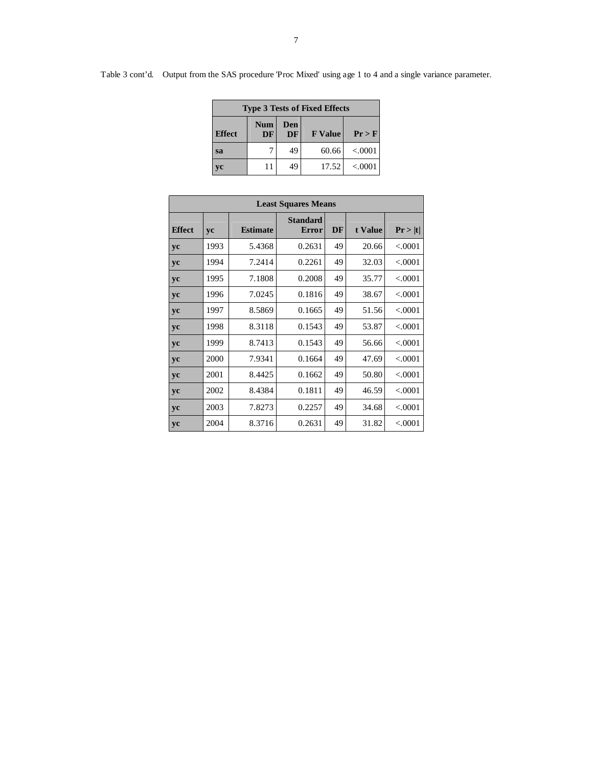| <b>Type 3 Tests of Fixed Effects</b> |                  |                  |                |         |  |  |  |
|--------------------------------------|------------------|------------------|----------------|---------|--|--|--|
| <b>Effect</b>                        | <b>Num</b><br>DF | Den<br><b>DF</b> | <b>F</b> Value | Pr > F  |  |  |  |
| sa                                   |                  | 49               | 60.66          | < 0001  |  |  |  |
| vc                                   | 11               | 49               | 17.52          | < .0001 |  |  |  |

| <b>Least Squares Means</b> |      |                 |                          |           |         |           |
|----------------------------|------|-----------------|--------------------------|-----------|---------|-----------|
| <b>Effect</b>              | yc   | <b>Estimate</b> | <b>Standard</b><br>Error | <b>DF</b> | t Value | Pr >  t   |
| yc                         | 1993 | 5.4368          | 0.2631                   | 49        | 20.66   | < 0.0001  |
| yc                         | 1994 | 7.2414          | 0.2261                   | 49        | 32.03   | < 0.0001  |
| yc                         | 1995 | 7.1808          | 0.2008                   | 49        | 35.77   | < 0.0001  |
| <b>VC</b>                  | 1996 | 7.0245          | 0.1816                   | 49        | 38.67   | < .0001   |
| yc                         | 1997 | 8.5869          | 0.1665                   | 49        | 51.56   | < 0.0001  |
| yc                         | 1998 | 8.3118          | 0.1543                   | 49        | 53.87   | < 0.0001  |
| yc                         | 1999 | 8.7413          | 0.1543                   | 49        | 56.66   | < 0.0001  |
| vc                         | 2000 | 7.9341          | 0.1664                   | 49        | 47.69   | < 0.0001  |
| yc                         | 2001 | 8.4425          | 0.1662                   | 49        | 50.80   | < 0.0001  |
| yc                         | 2002 | 8.4384          | 0.1811                   | 49        | 46.59   | < 0.0001  |
| yc                         | 2003 | 7.8273          | 0.2257                   | 49        | 34.68   | < 0.0001  |
| yc                         | 2004 | 8.3716          | 0.2631                   | 49        | 31.82   | ${<}0001$ |

# Table 3 cont'd. Output from the SAS procedure 'Proc Mixed' using age 1 to 4 and a single variance parameter.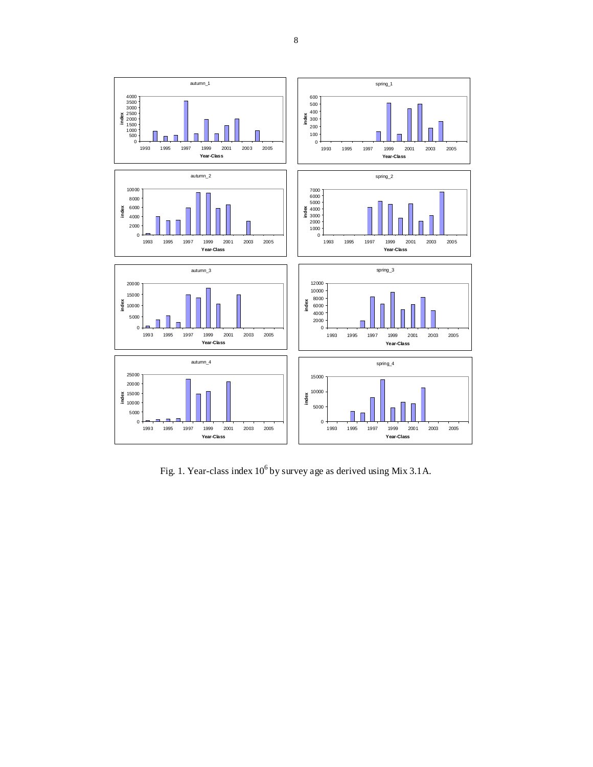

Fig. 1. Year-class index  $10^6$  by survey age as derived using Mix 3.1A.